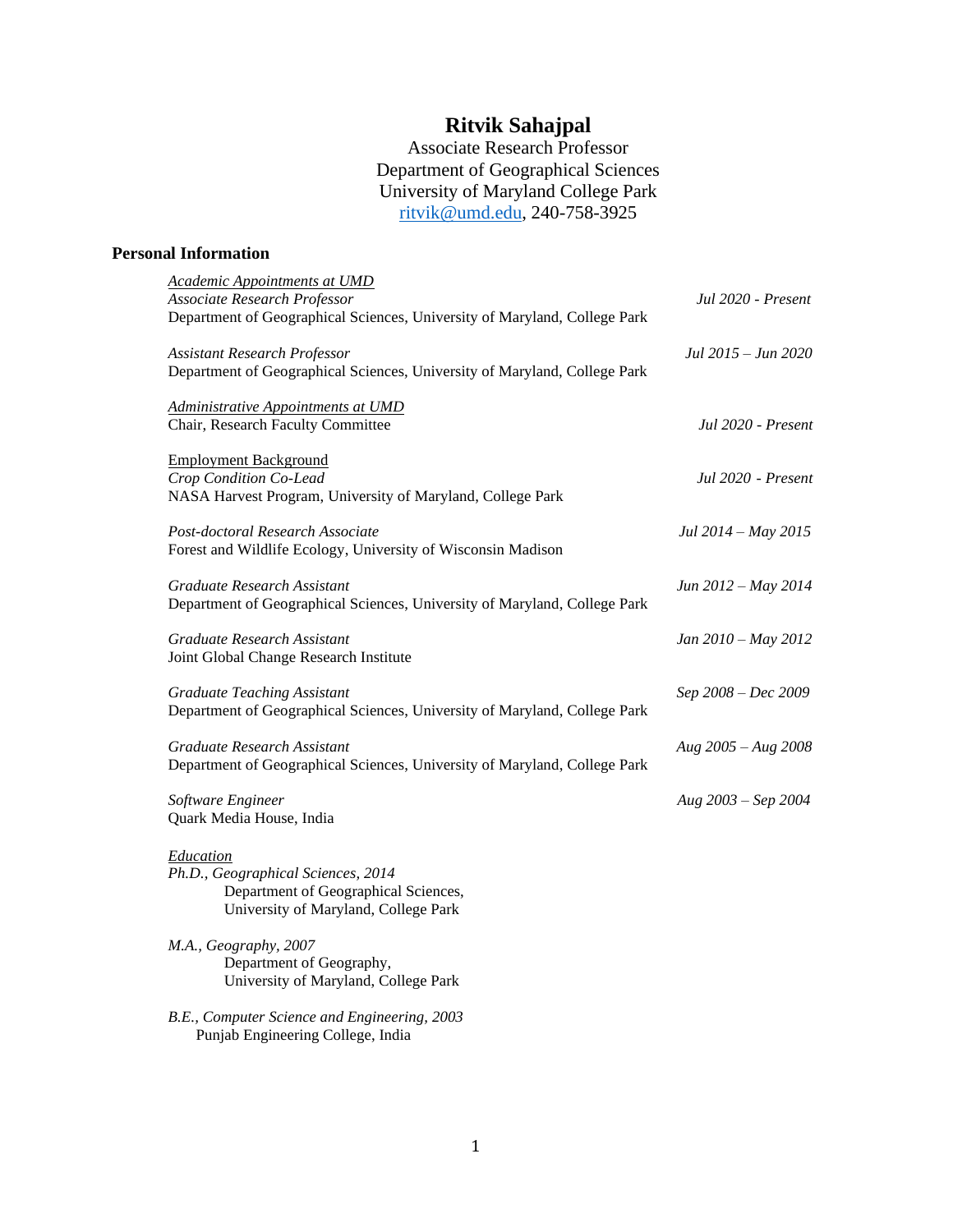# **Ritvik Sahajpal**

Associate Research Professor Department of Geographical Sciences University of Maryland College Park [ritvik@umd.edu,](mailto:ritvik@umd.edu) 240-758-3925

# **Personal Information**

| Academic Appointments at UMD<br>Associate Research Professor<br>Department of Geographical Sciences, University of Maryland, College Park | Jul 2020 - Present     |
|-------------------------------------------------------------------------------------------------------------------------------------------|------------------------|
| <b>Assistant Research Professor</b><br>Department of Geographical Sciences, University of Maryland, College Park                          | Jul 2015 – Jun 2020    |
| Administrative Appointments at UMD<br>Chair, Research Faculty Committee                                                                   | Jul 2020 - Present     |
| <b>Employment Background</b><br>Crop Condition Co-Lead<br>NASA Harvest Program, University of Maryland, College Park                      | Jul 2020 - Present     |
| Post-doctoral Research Associate<br>Forest and Wildlife Ecology, University of Wisconsin Madison                                          | Jul 2014 – May 2015    |
| Graduate Research Assistant<br>Department of Geographical Sciences, University of Maryland, College Park                                  | Jun 2012 – May 2014    |
| Graduate Research Assistant<br>Joint Global Change Research Institute                                                                     | Jan 2010 - May 2012    |
| <b>Graduate Teaching Assistant</b><br>Department of Geographical Sciences, University of Maryland, College Park                           | Sep 2008 - Dec 2009    |
| Graduate Research Assistant<br>Department of Geographical Sciences, University of Maryland, College Park                                  | Aug $2005 - Aug\ 2008$ |
| Software Engineer<br>Quark Media House, India                                                                                             | Aug $2003 - Sep$ 2004  |
| Education<br>Ph.D., Geographical Sciences, 2014<br>Department of Geographical Sciences,<br>University of Maryland, College Park           |                        |
| M.A., Geography, 2007<br>Department of Geography,<br>University of Maryland, College Park                                                 |                        |
| B.E., Computer Science and Engineering, 2003                                                                                              |                        |

Punjab Engineering College, India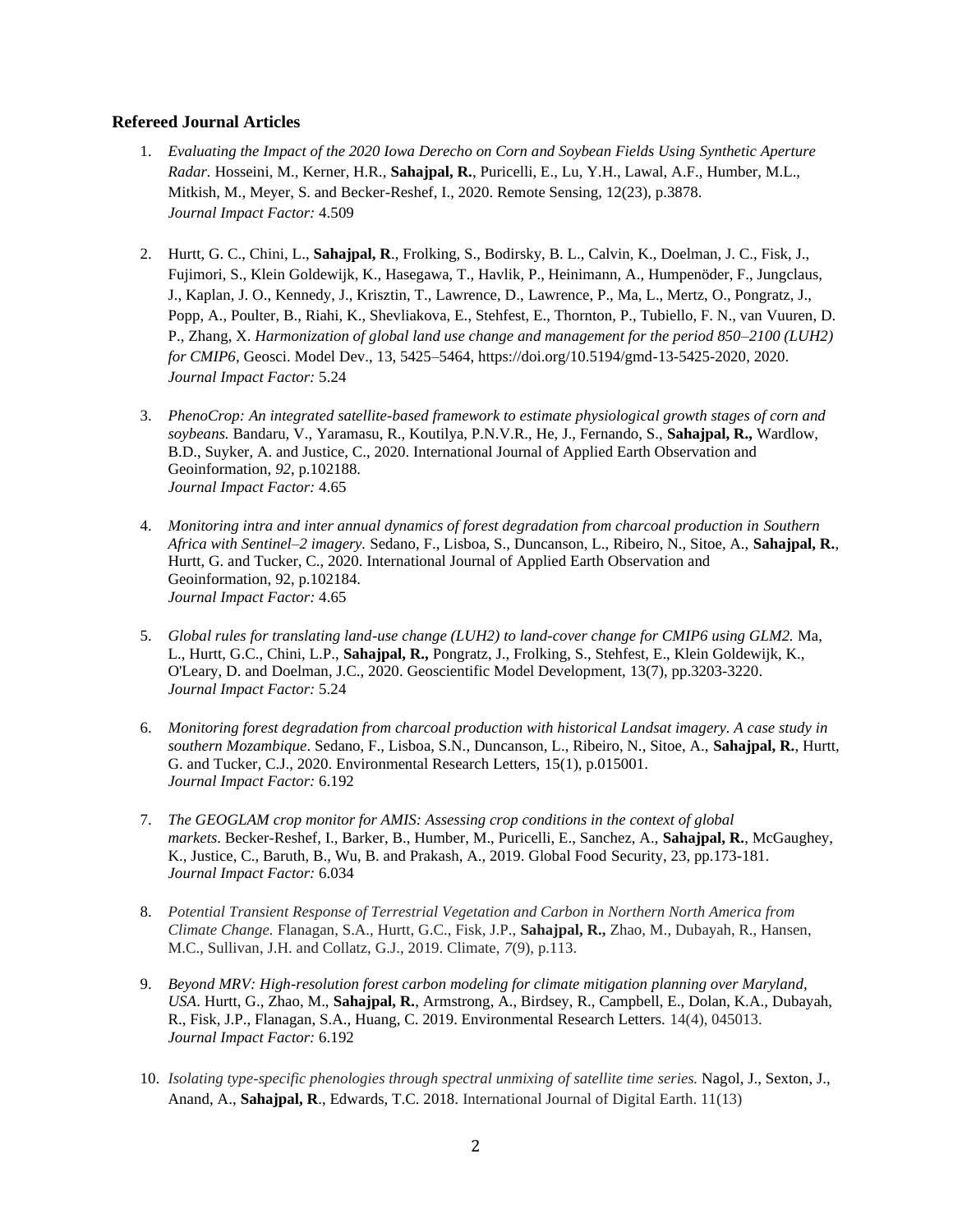#### **Refereed Journal Articles**

- 1. *Evaluating the Impact of the 2020 Iowa Derecho on Corn and Soybean Fields Using Synthetic Aperture Radar.* Hosseini, M., Kerner, H.R., **Sahajpal, R.**, Puricelli, E., Lu, Y.H., Lawal, A.F., Humber, M.L., Mitkish, M., Meyer, S. and Becker-Reshef, I., 2020. Remote Sensing, 12(23), p.3878. *Journal Impact Factor:* 4.509
- 2. Hurtt, G. C., Chini, L., **Sahajpal, R**., Frolking, S., Bodirsky, B. L., Calvin, K., Doelman, J. C., Fisk, J., Fujimori, S., Klein Goldewijk, K., Hasegawa, T., Havlik, P., Heinimann, A., Humpenöder, F., Jungclaus, J., Kaplan, J. O., Kennedy, J., Krisztin, T., Lawrence, D., Lawrence, P., Ma, L., Mertz, O., Pongratz, J., Popp, A., Poulter, B., Riahi, K., Shevliakova, E., Stehfest, E., Thornton, P., Tubiello, F. N., van Vuuren, D. P., Zhang, X. *Harmonization of global land use change and management for the period 850–2100 (LUH2) for CMIP6,* Geosci. Model Dev., 13, 5425–5464, https://doi.org/10.5194/gmd-13-5425-2020, 2020. *Journal Impact Factor:* 5.24
- 3. *PhenoCrop: An integrated satellite-based framework to estimate physiological growth stages of corn and soybeans.* Bandaru, V., Yaramasu, R., Koutilya, P.N.V.R., He, J., Fernando, S., **Sahajpal, R.,** Wardlow, B.D., Suyker, A. and Justice, C., 2020. International Journal of Applied Earth Observation and Geoinformation, *92*, p.102188. *Journal Impact Factor:* 4.65
- 4. *Monitoring intra and inter annual dynamics of forest degradation from charcoal production in Southern Africa with Sentinel–2 imagery.* Sedano, F., Lisboa, S., Duncanson, L., Ribeiro, N., Sitoe, A., **Sahajpal, R.**, Hurtt, G. and Tucker, C., 2020. International Journal of Applied Earth Observation and Geoinformation, 92, p.102184. *Journal Impact Factor:* 4.65
- 5. *Global rules for translating land-use change (LUH2) to land-cover change for CMIP6 using GLM2.* Ma, L., Hurtt, G.C., Chini, L.P., **Sahajpal, R.,** Pongratz, J., Frolking, S., Stehfest, E., Klein Goldewijk, K., O'Leary, D. and Doelman, J.C., 2020. Geoscientific Model Development, 13(7), pp.3203-3220. *Journal Impact Factor:* 5.24
- 6. *Monitoring forest degradation from charcoal production with historical Landsat imagery. A case study in southern Mozambique*. Sedano, F., Lisboa, S.N., Duncanson, L., Ribeiro, N., Sitoe, A., **Sahajpal, R.**, Hurtt, G. and Tucker, C.J., 2020. Environmental Research Letters, 15(1), p.015001. *Journal Impact Factor:* 6.192
- 7. *The GEOGLAM crop monitor for AMIS: Assessing crop conditions in the context of global markets*. Becker-Reshef, I., Barker, B., Humber, M., Puricelli, E., Sanchez, A., **Sahajpal, R.**, McGaughey, K., Justice, C., Baruth, B., Wu, B. and Prakash, A., 2019. Global Food Security, 23, pp.173-181. *Journal Impact Factor:* 6.034
- 8. *Potential Transient Response of Terrestrial Vegetation and Carbon in Northern North America from Climate Change.* Flanagan, S.A., Hurtt, G.C., Fisk, J.P., **Sahajpal, R.,** Zhao, M., Dubayah, R., Hansen, M.C., Sullivan, J.H. and Collatz, G.J., 2019. Climate, *7*(9), p.113.
- 9. *Beyond MRV: High-resolution forest carbon modeling for climate mitigation planning over Maryland, USA*. Hurtt, G., Zhao, M., **Sahajpal, R.**, Armstrong, A., Birdsey, R., Campbell, E., Dolan, K.A., Dubayah, R., Fisk, J.P., Flanagan, S.A., Huang, C. 2019. Environmental Research Letters. 14(4), 045013. *Journal Impact Factor:* 6.192
- 10. *Isolating type-specific phenologies through spectral unmixing of satellite time series.* Nagol, J., Sexton, J., Anand, A., **Sahajpal, R**., Edwards, T.C. 2018. International Journal of Digital Earth. 11(13)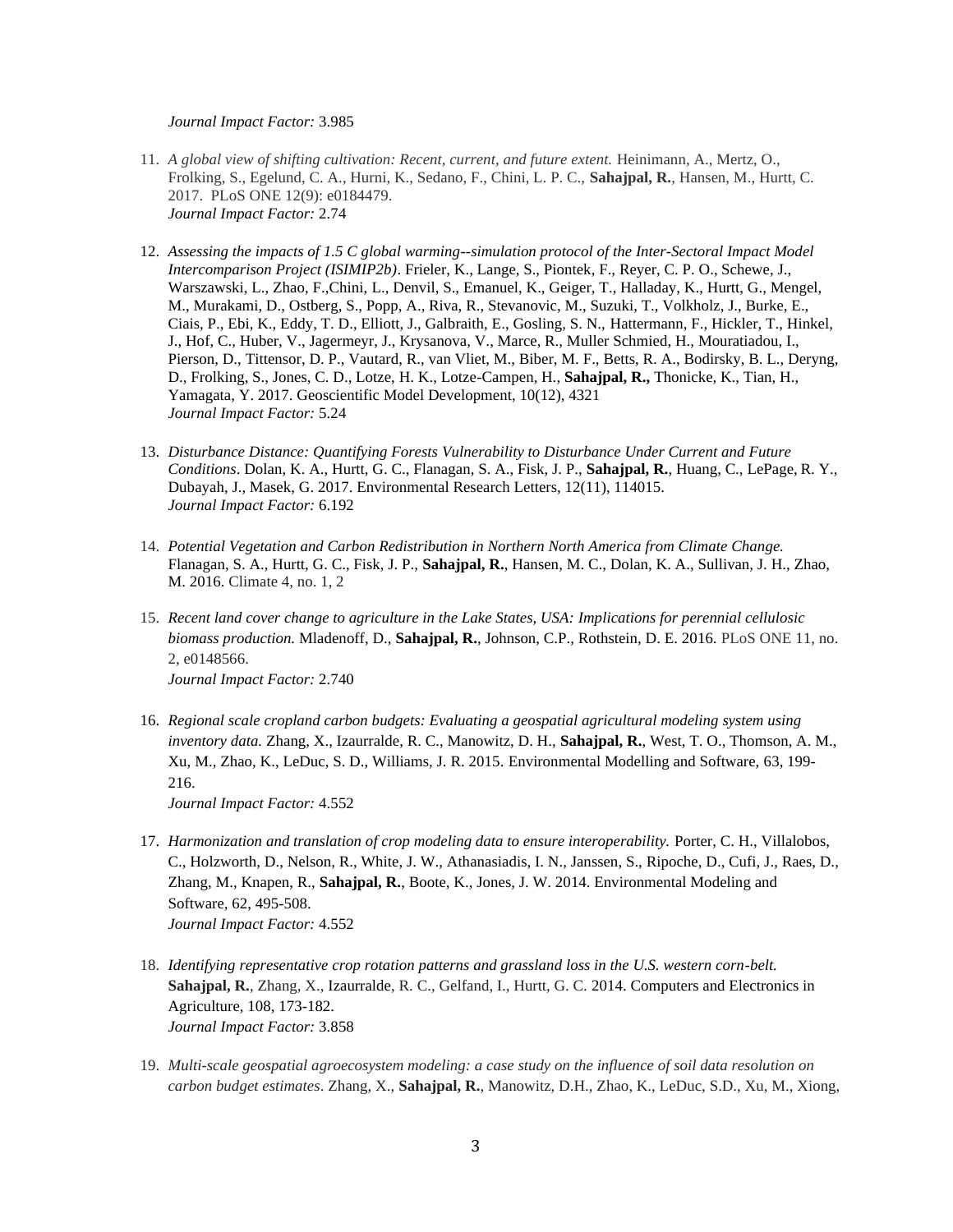#### *Journal Impact Factor:* 3.985

- 11. *A global view of shifting cultivation: Recent, current, and future extent.* Heinimann, A., Mertz, O., Frolking, S., Egelund, C. A., Hurni, K., Sedano, F., Chini, L. P. C., **Sahajpal, R.**, Hansen, M., Hurtt, C. 2017. PLoS ONE 12(9): e0184479. *Journal Impact Factor:* 2.74
- 12. *Assessing the impacts of 1.5 C global warming--simulation protocol of the Inter-Sectoral Impact Model Intercomparison Project (ISIMIP2b)*. Frieler, K., Lange, S., Piontek, F., Reyer, C. P. O., Schewe, J., Warszawski, L., Zhao, F.,Chini, L., Denvil, S., Emanuel, K., Geiger, T., Halladay, K., Hurtt, G., Mengel, M., Murakami, D., Ostberg, S., Popp, A., Riva, R., Stevanovic, M., Suzuki, T., Volkholz, J., Burke, E., Ciais, P., Ebi, K., Eddy, T. D., Elliott, J., Galbraith, E., Gosling, S. N., Hattermann, F., Hickler, T., Hinkel, J., Hof, C., Huber, V., Jagermeyr, J., Krysanova, V., Marce, R., Muller Schmied, H., Mouratiadou, I., Pierson, D., Tittensor, D. P., Vautard, R., van Vliet, M., Biber, M. F., Betts, R. A., Bodirsky, B. L., Deryng, D., Frolking, S., Jones, C. D., Lotze, H. K., Lotze-Campen, H., **Sahajpal, R.,** Thonicke, K., Tian, H., Yamagata, Y. 2017. Geoscientific Model Development, 10(12), 4321 *Journal Impact Factor:* 5.24
- 13. *Disturbance Distance: Quantifying Forests Vulnerability to Disturbance Under Current and Future Conditions*. Dolan, K. A., Hurtt, G. C., Flanagan, S. A., Fisk, J. P., **Sahajpal, R.**, Huang, C., LePage, R. Y., Dubayah, J., Masek, G. 2017. Environmental Research Letters, 12(11), 114015. *Journal Impact Factor:* 6.192
- 14. *Potential Vegetation and Carbon Redistribution in Northern North America from Climate Change.*  Flanagan, S. A., Hurtt, G. C., Fisk, J. P., **Sahajpal, R.**, Hansen, M. C., Dolan, K. A., Sullivan, J. H., Zhao, M. 2016. Climate 4, no. 1, 2
- 15. *Recent land cover change to agriculture in the Lake States, USA: Implications for perennial cellulosic biomass production.* Mladenoff, D., **Sahajpal, R.**, Johnson, C.P., Rothstein, D. E. 2016. PLoS ONE 11, no. 2, e0148566. *Journal Impact Factor:* 2.740
- 16. *Regional scale cropland carbon budgets: Evaluating a geospatial agricultural modeling system using inventory data.* Zhang, X., Izaurralde, R. C., Manowitz, D. H., **Sahajpal, R.**, West, T. O., Thomson, A. M., Xu, M., Zhao, K., LeDuc, S. D., Williams, J. R. 2015. Environmental Modelling and Software, 63, 199- 216.

*Journal Impact Factor:* 4.552

- 17. *Harmonization and translation of crop modeling data to ensure interoperability.* Porter, C. H., Villalobos, C., Holzworth, D., Nelson, R., White, J. W., Athanasiadis, I. N., Janssen, S., Ripoche, D., Cufi, J., Raes, D., Zhang, M., Knapen, R., **Sahajpal, R.**, Boote, K., Jones, J. W. 2014. Environmental Modeling and Software, 62, 495-508. *Journal Impact Factor:* 4.552
- 18. *Identifying representative crop rotation patterns and grassland loss in the U.S. western corn-belt.*  Sahajpal, R., Zhang, X., Izaurralde, R. C., Gelfand, I., Hurtt, G. C. 2014. Computers and Electronics in Agriculture, 108, 173-182. *Journal Impact Factor:* 3.858
- 19. *Multi-scale geospatial agroecosystem modeling: a case study on the influence of soil data resolution on carbon budget estimates*. Zhang, X., **Sahajpal, R.**, Manowitz, D.H., Zhao, K., LeDuc, S.D., Xu, M., Xiong,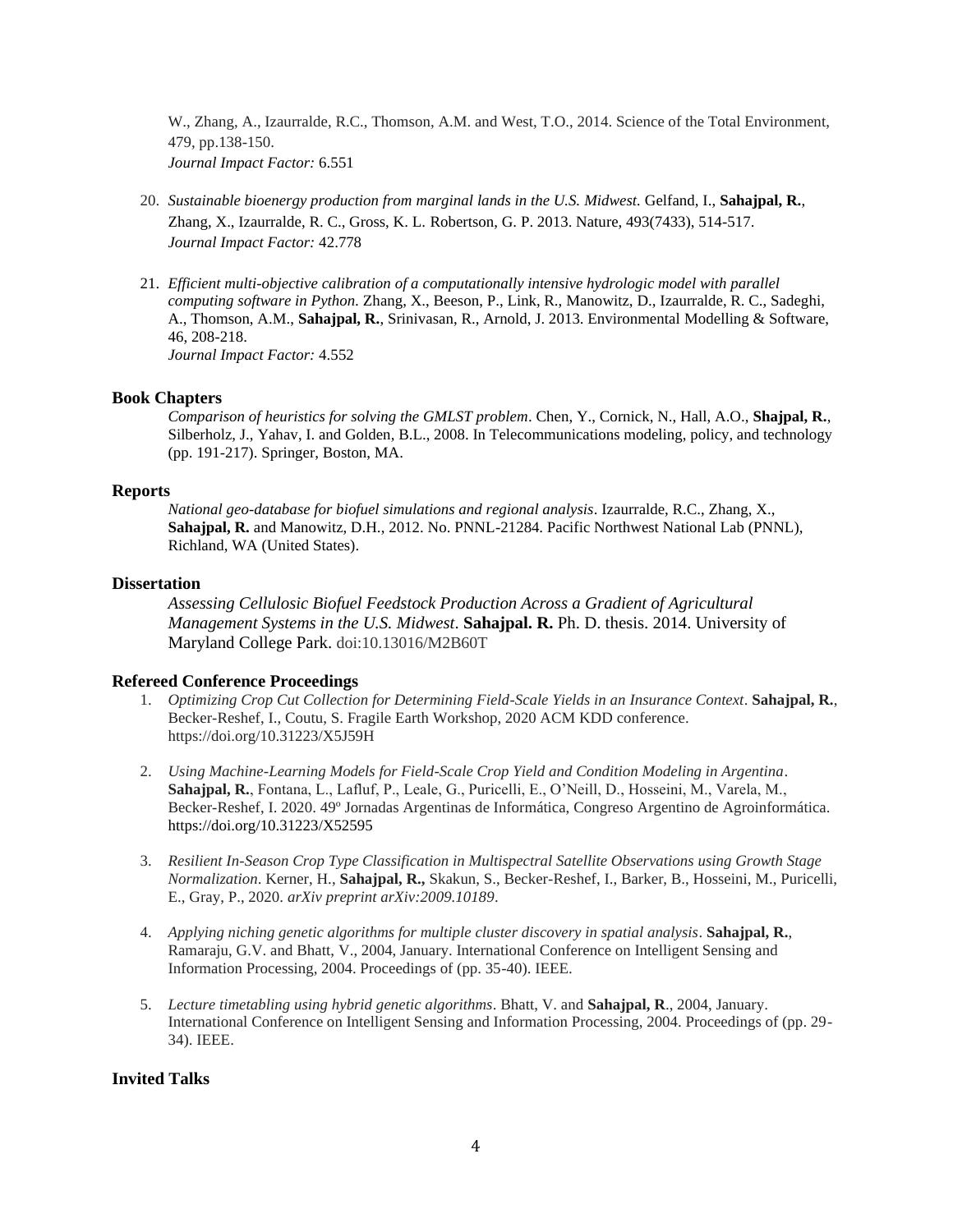W., Zhang, A., Izaurralde, R.C., Thomson, A.M. and West, T.O., 2014. Science of the Total Environment, 479, pp.138-150. *Journal Impact Factor:* 6.551

- 20. *Sustainable bioenergy production from marginal lands in the U.S. Midwest.* Gelfand, I., **Sahajpal, R.**, Zhang, X., Izaurralde, R. C., Gross, K. L. Robertson, G. P. 2013. Nature, 493(7433), 514-517. *Journal Impact Factor:* 42.778
- 21. *Efficient multi-objective calibration of a computationally intensive hydrologic model with parallel computing software in Python.* Zhang, X., Beeson, P., Link, R., Manowitz, D., Izaurralde, R. C., Sadeghi, A., Thomson, A.M., **Sahajpal, R.**, Srinivasan, R., Arnold, J. 2013. Environmental Modelling & Software, 46, 208-218. *Journal Impact Factor:* 4.552

#### **Book Chapters**

*Comparison of heuristics for solving the GMLST problem*. Chen, Y., Cornick, N., Hall, A.O., **Shajpal, R.**, Silberholz, J., Yahav, I. and Golden, B.L., 2008. In Telecommunications modeling, policy, and technology (pp. 191-217). Springer, Boston, MA.

#### **Reports**

*National geo-database for biofuel simulations and regional analysis*. Izaurralde, R.C., Zhang, X., **Sahajpal, R.** and Manowitz, D.H., 2012. No. PNNL-21284. Pacific Northwest National Lab (PNNL), Richland, WA (United States).

#### **Dissertation**

*Assessing Cellulosic Biofuel Feedstock Production Across a Gradient of Agricultural Management Systems in the U.S. Midwest*. **Sahajpal. R.** Ph. D. thesis. 2014. University of Maryland College Park. doi:10.13016/M2B60T

#### **Refereed Conference Proceedings**

- 1. *Optimizing Crop Cut Collection for Determining Field-Scale Yields in an Insurance Context*. **Sahajpal, R.**, Becker-Reshef, I., Coutu, S. Fragile Earth Workshop, 2020 ACM KDD conference. https://doi.org/10.31223/X5J59H
- 2. *Using Machine-Learning Models for Field-Scale Crop Yield and Condition Modeling in Argentina*. **Sahajpal, R.**, Fontana, L., Lafluf, P., Leale, G., Puricelli, E., O'Neill, D., Hosseini, M., Varela, M., Becker-Reshef, I. 2020. 49º Jornadas Argentinas de Informática, Congreso Argentino de Agroinformática. https://doi.org/10.31223/X52595
- 3. *Resilient In-Season Crop Type Classification in Multispectral Satellite Observations using Growth Stage Normalization*. Kerner, H., **Sahajpal, R.,** Skakun, S., Becker-Reshef, I., Barker, B., Hosseini, M., Puricelli, E., Gray, P., 2020. *arXiv preprint arXiv:2009.10189*.
- 4. *Applying niching genetic algorithms for multiple cluster discovery in spatial analysis*. **Sahajpal, R.**, Ramaraju, G.V. and Bhatt, V., 2004, January. International Conference on Intelligent Sensing and Information Processing, 2004. Proceedings of (pp. 35-40). IEEE.
- 5. *Lecture timetabling using hybrid genetic algorithms*. Bhatt, V. and **Sahajpal, R**., 2004, January. International Conference on Intelligent Sensing and Information Processing, 2004. Proceedings of (pp. 29- 34). IEEE.

#### **Invited Talks**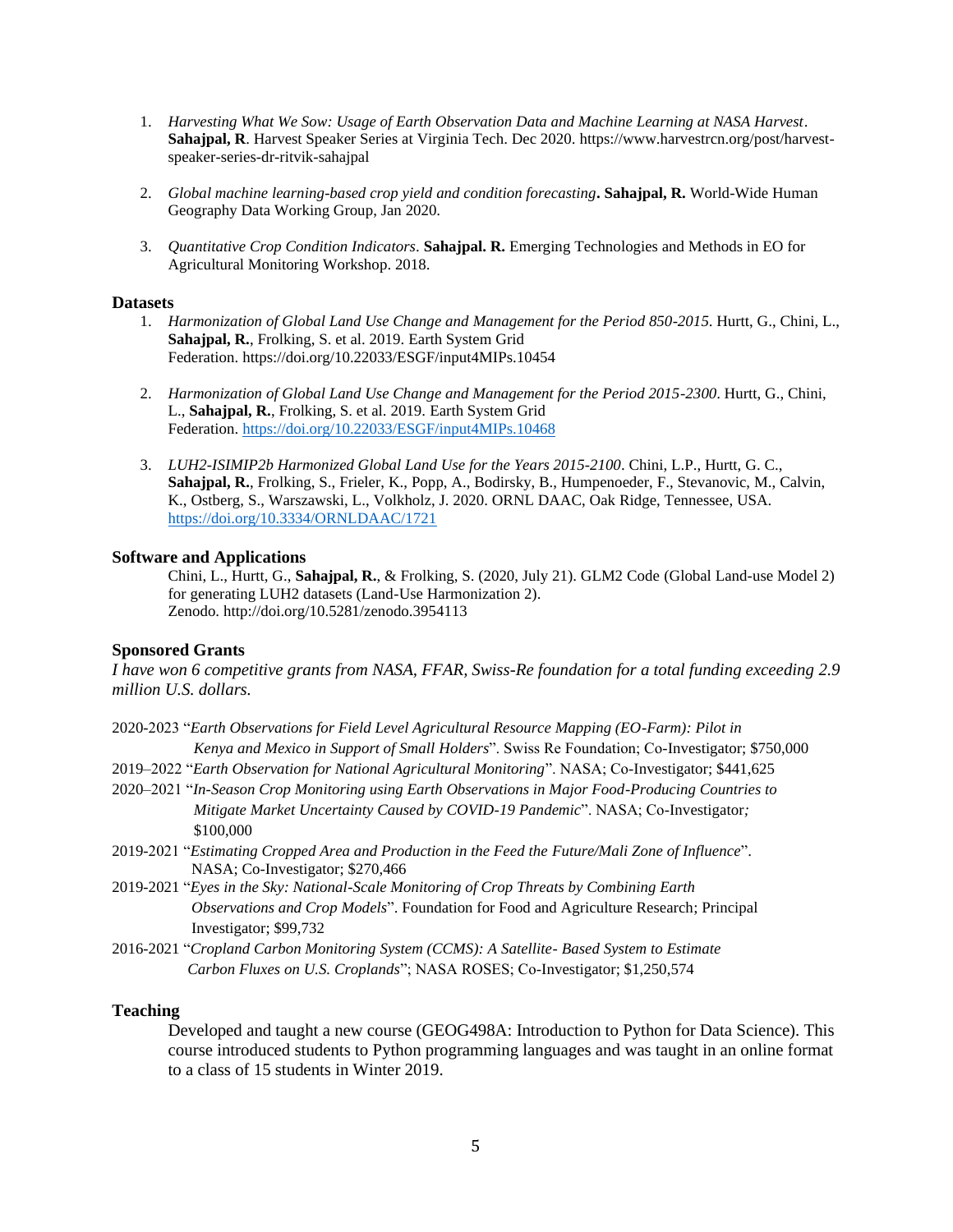- 1. *Harvesting What We Sow: Usage of Earth Observation Data and Machine Learning at NASA Harvest*. **Sahajpal, R**. Harvest Speaker Series at Virginia Tech. Dec 2020. https://www.harvestrcn.org/post/harvestspeaker-series-dr-ritvik-sahajpal
- 2. *Global machine learning-based crop yield and condition forecasting***. Sahajpal, R.** World-Wide Human Geography Data Working Group, Jan 2020.
- 3. *Quantitative Crop Condition Indicators*. **Sahajpal. R.** Emerging Technologies and Methods in EO for Agricultural Monitoring Workshop. 2018.

#### **Datasets**

- 1. *Harmonization of Global Land Use Change and Management for the Period 850-2015*. Hurtt, G., Chini, L., **Sahajpal, R.**, Frolking, S. et al. 2019. Earth System Grid Federation. https://doi.org/10.22033/ESGF/input4MIPs.10454
- 2. *Harmonization of Global Land Use Change and Management for the Period 2015-2300*. Hurtt, G., Chini, L., **Sahajpal, R.**, Frolking, S. et al. 2019. Earth System Grid Federation. <https://doi.org/10.22033/ESGF/input4MIPs.10468>
- 3. *LUH2-ISIMIP2b Harmonized Global Land Use for the Years 2015-2100*. Chini, L.P., Hurtt, G. C., **Sahajpal, R.**, Frolking, S., Frieler, K., Popp, A., Bodirsky, B., Humpenoeder, F., Stevanovic, M., Calvin, K., Ostberg, S., Warszawski, L., Volkholz, J. 2020. ORNL DAAC, Oak Ridge, Tennessee, USA. <https://doi.org/10.3334/ORNLDAAC/1721>

## **Software and Applications**

Chini, L., Hurtt, G., **Sahajpal, R.**, & Frolking, S. (2020, July 21). GLM2 Code (Global Land-use Model 2) for generating LUH2 datasets (Land-Use Harmonization 2). Zenodo. http://doi.org/10.5281/zenodo.3954113

## **Sponsored Grants**

*I have won 6 competitive grants from NASA, FFAR, Swiss-Re foundation for a total funding exceeding 2.9 million U.S. dollars.*

- 2020-2023 "*Earth Observations for Field Level Agricultural Resource Mapping (EO-Farm): Pilot in Kenya and Mexico in Support of Small Holders*". Swiss Re Foundation; Co-Investigator; \$750,000
- 2019–2022 "*Earth Observation for National Agricultural Monitoring*". NASA; Co-Investigator; \$441,625
- 2020–2021 "*In-Season Crop Monitoring using Earth Observations in Major Food-Producing Countries to Mitigate Market Uncertainty Caused by COVID-19 Pandemic*". NASA; Co-Investigator*;*  \$100,000
- 2019-2021 "*Estimating Cropped Area and Production in the Feed the Future/Mali Zone of Influence*". NASA; Co-Investigator; \$270,466
- 2019-2021 "*Eyes in the Sky: National-Scale Monitoring of Crop Threats by Combining Earth Observations and Crop Models*". Foundation for Food and Agriculture Research; Principal Investigator; \$99,732
- 2016-2021 "*Cropland Carbon Monitoring System (CCMS): A Satellite- Based System to Estimate Carbon Fluxes on U.S. Croplands*"; NASA ROSES; Co-Investigator; \$1,250,574

## **Teaching**

Developed and taught a new course (GEOG498A: Introduction to Python for Data Science). This course introduced students to Python programming languages and was taught in an online format to a class of 15 students in Winter 2019.